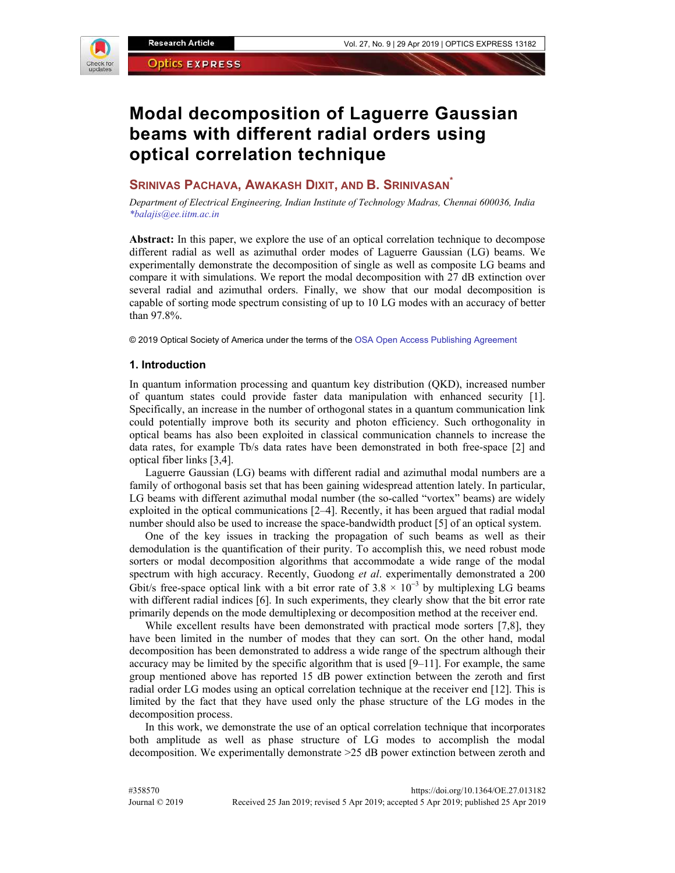

# **Modal decomposition of Laguerre Gaussian beams with different radial orders using optical correlation technique**

# **SRINIVAS PACHAVA, AWAKASH DIXIT, AND B. SRINIVASAN\***

*Department of Electrical Engineering, Indian Institute of Technology Madras, Chennai 600036, India \*balajis@ee.iitm.ac.in* 

**Abstract:** In this paper, we explore the use of an optical correlation technique to decompose different radial as well as azimuthal order modes of Laguerre Gaussian (LG) beams. We experimentally demonstrate the decomposition of single as well as composite LG beams and compare it with simulations. We report the modal decomposition with 27 dB extinction over several radial and azimuthal orders. Finally, we show that our modal decomposition is capable of sorting mode spectrum consisting of up to 10 LG modes with an accuracy of better than 97.8%.

© 2019 Optical Society of America under the terms of the OSA Open Access Publishing Agreement

## **1. Introduction**

In quantum information processing and quantum key distribution (QKD), increased number of quantum states could provide faster data manipulation with enhanced security [1]. Specifically, an increase in the number of orthogonal states in a quantum communication link could potentially improve both its security and photon efficiency. Such orthogonality in optical beams has also been exploited in classical communication channels to increase the data rates, for example Tb/s data rates have been demonstrated in both free-space [2] and optical fiber links [3,4].

Laguerre Gaussian (LG) beams with different radial and azimuthal modal numbers are a family of orthogonal basis set that has been gaining widespread attention lately. In particular, LG beams with different azimuthal modal number (the so-called "vortex" beams) are widely exploited in the optical communications [2–4]. Recently, it has been argued that radial modal number should also be used to increase the space-bandwidth product [5] of an optical system.

One of the key issues in tracking the propagation of such beams as well as their demodulation is the quantification of their purity. To accomplish this, we need robust mode sorters or modal decomposition algorithms that accommodate a wide range of the modal spectrum with high accuracy. Recently, Guodong *et al*. experimentally demonstrated a 200 Gbit/s free-space optical link with a bit error rate of  $3.8 \times 10^{-3}$  by multiplexing LG beams with different radial indices [6]. In such experiments, they clearly show that the bit error rate primarily depends on the mode demultiplexing or decomposition method at the receiver end.

While excellent results have been demonstrated with practical mode sorters [7,8], they have been limited in the number of modes that they can sort. On the other hand, modal decomposition has been demonstrated to address a wide range of the spectrum although their accuracy may be limited by the specific algorithm that is used [9–11]. For example, the same group mentioned above has reported 15 dB power extinction between the zeroth and first radial order LG modes using an optical correlation technique at the receiver end [12]. This is limited by the fact that they have used only the phase structure of the LG modes in the decomposition process.

In this work, we demonstrate the use of an optical correlation technique that incorporates both amplitude as well as phase structure of LG modes to accomplish the modal decomposition. We experimentally demonstrate >25 dB power extinction between zeroth and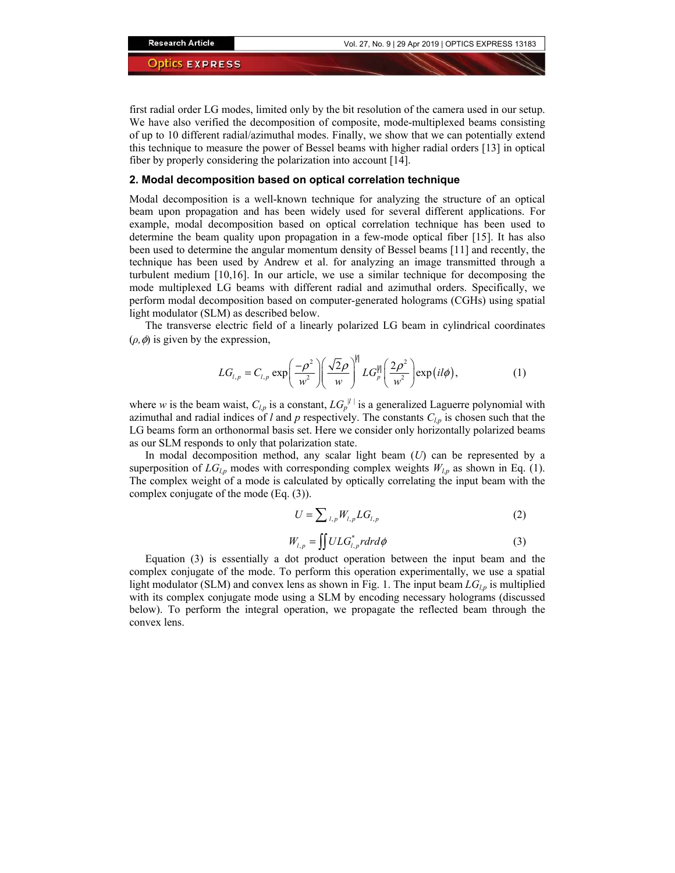first radial order LG modes, limited only by the bit resolution of the camera used in our setup. We have also verified the decomposition of composite, mode-multiplexed beams consisting of up to 10 different radial/azimuthal modes. Finally, we show that we can potentially extend this technique to measure the power of Bessel beams with higher radial orders [13] in optical fiber by properly considering the polarization into account [14].

#### **2. Modal decomposition based on optical correlation technique**

Modal decomposition is a well-known technique for analyzing the structure of an optical beam upon propagation and has been widely used for several different applications. For example, modal decomposition based on optical correlation technique has been used to determine the beam quality upon propagation in a few-mode optical fiber [15]. It has also been used to determine the angular momentum density of Bessel beams [11] and recently, the technique has been used by Andrew et al. for analyzing an image transmitted through a turbulent medium [10,16]. In our article, we use a similar technique for decomposing the mode multiplexed LG beams with different radial and azimuthal orders. Specifically, we perform modal decomposition based on computer-generated holograms (CGHs) using spatial light modulator (SLM) as described below.

The transverse electric field of a linearly polarized LG beam in cylindrical coordinates  $(\rho, \phi)$  is given by the expression,

$$
LG_{l,p} = C_{l,p} \exp\left(\frac{-\rho^2}{w^2}\right) \left(\frac{\sqrt{2}\rho}{w}\right)^{|l|} LG_{p}^{|l|}\left(\frac{2\rho^2}{w^2}\right) \exp\left(\frac{i l \phi}{w}\right),\tag{1}
$$

where *w* is the beam waist,  $C_{l,p}$  is a constant,  $LG_p^{|l|}$  is a generalized Laguerre polynomial with azimuthal and radial indices of *l* and *p* respectively. The constants  $C_{l,p}$  is chosen such that the LG beams form an orthonormal basis set. Here we consider only horizontally polarized beams as our SLM responds to only that polarization state.

In modal decomposition method, any scalar light beam (*U*) can be represented by a superposition of  $LG_{l,p}$  modes with corresponding complex weights  $W_{l,p}$  as shown in Eq. (1). The complex weight of a mode is calculated by optically correlating the input beam with the complex conjugate of the mode (Eq. (3)).

$$
U = \sum_{l,p} W_{l,p} L G_{l,p}
$$
 (2)

$$
W_{l,p} = \iint U LG_{l,p}^* r dr d\phi \tag{3}
$$

Equation (3) is essentially a dot product operation between the input beam and the complex conjugate of the mode. To perform this operation experimentally, we use a spatial light modulator (SLM) and convex lens as shown in Fig. 1. The input beam *LGl,p* is multiplied with its complex conjugate mode using a SLM by encoding necessary holograms (discussed below). To perform the integral operation, we propagate the reflected beam through the convex lens.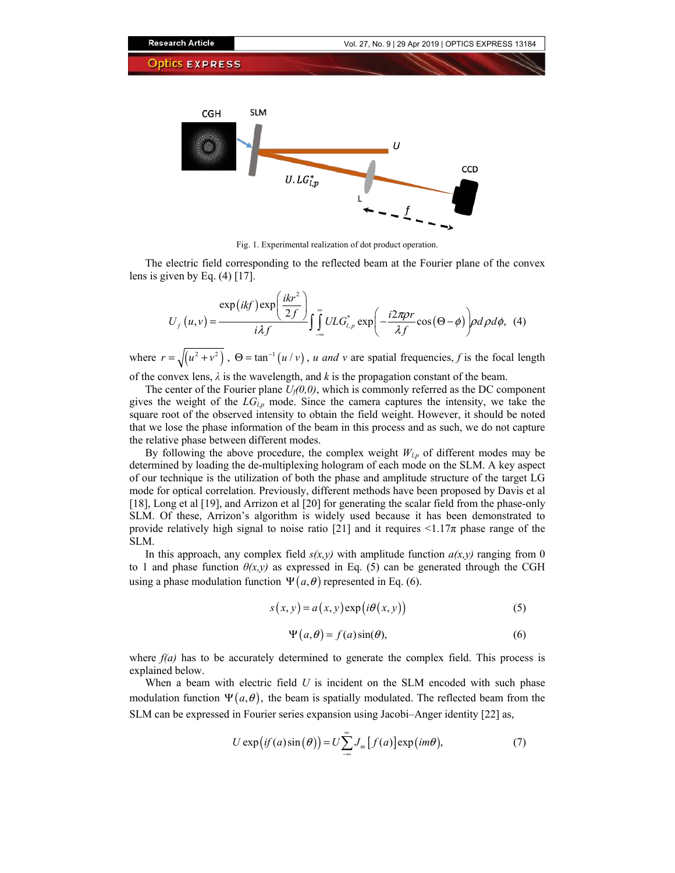

Fig. 1. Experimental realization of dot product operation.

The electric field corresponding to the reflected beam at the Fourier plane of the convex lens is given by Eq.  $(4)$  [17].

$$
U_f(u,v) = \frac{\exp(ikf)\exp\left(\frac{ikr^2}{2f}\right)}{i\lambda f} \int_{-\infty}^{\infty} ULG_{i,p}^* \exp\left(-\frac{i2\pi \rho r}{\lambda f}\cos(\Theta-\phi)\right) \rho d\rho d\phi, \tag{4}
$$

where  $r = \sqrt{u^2 + v^2}$ ,  $\Theta = \tan^{-1}(u/v)$ , *u and v* are spatial frequencies, *f* is the focal length of the convex lens,  $\lambda$  is the wavelength, and  $k$  is the propagation constant of the beam.

The center of the Fourier plane  $U_f(0,0)$ , which is commonly referred as the DC component gives the weight of the  $LG_{l,p}$  mode. Since the camera captures the intensity, we take the square root of the observed intensity to obtain the field weight. However, it should be noted that we lose the phase information of the beam in this process and as such, we do not capture the relative phase between different modes.

By following the above procedure, the complex weight  $W_{l,p}$  of different modes may be determined by loading the de-multiplexing hologram of each mode on the SLM. A key aspect of our technique is the utilization of both the phase and amplitude structure of the target LG mode for optical correlation. Previously, different methods have been proposed by Davis et al [18], Long et al [19], and Arrizon et al [20] for generating the scalar field from the phase-only SLM. Of these, Arrizon's algorithm is widely used because it has been demonstrated to provide relatively high signal to noise ratio [21] and it requires  $\leq 1.17\pi$  phase range of the SLM.

In this approach, any complex field  $s(x, y)$  with amplitude function  $a(x, y)$  ranging from 0 to 1 and phase function  $\theta(x,y)$  as expressed in Eq. (5) can be generated through the CGH using a phase modulation function  $\Psi(a, \theta)$  represented in Eq. (6).

$$
s(x, y) = a(x, y) \exp(i\theta(x, y))
$$
 (5)

$$
\Psi(a,\theta) = f(a)\sin(\theta),\tag{6}
$$

where  $f(a)$  has to be accurately determined to generate the complex field. This process is explained below.

When a beam with electric field *U* is incident on the SLM encoded with such phase modulation function  $\Psi(a, \theta)$ , the beam is spatially modulated. The reflected beam from the SLM can be expressed in Fourier series expansion using Jacobi–Anger identity [22] as,

$$
U \exp\bigl(if(a)\sin(\theta)\bigr) = U \sum_{-\infty}^{\infty} J_m[f(a)] \exp\bigl(im\theta\bigr),\tag{7}
$$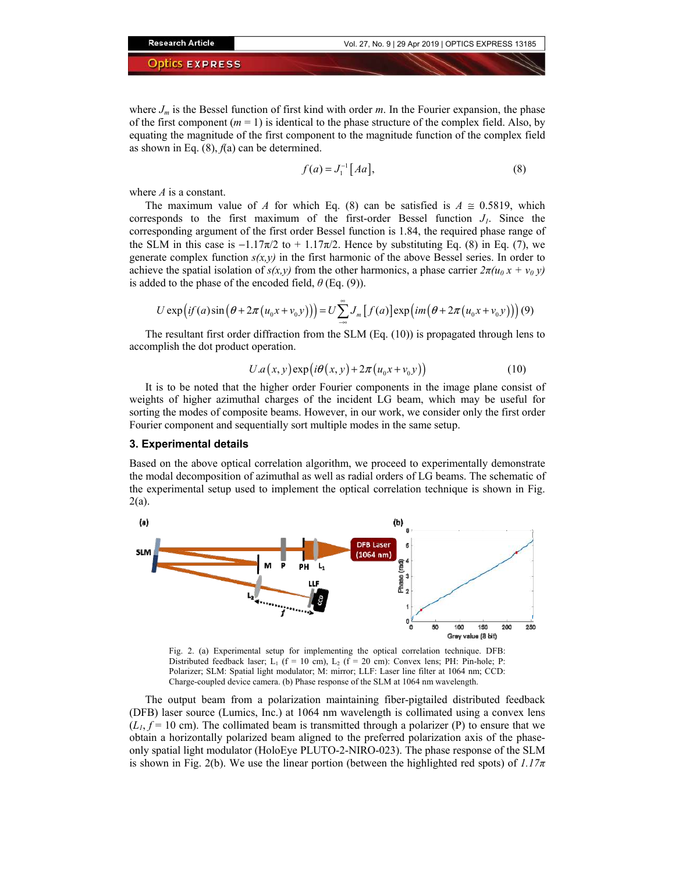where  $J_m$  is the Bessel function of first kind with order *m*. In the Fourier expansion, the phase of the first component  $(m = 1)$  is identical to the phase structure of the complex field. Also, by equating the magnitude of the first component to the magnitude function of the complex field as shown in Eq.  $(8)$ ,  $f(a)$  can be determined.

$$
f(a) = J_1^{-1}[Aa],\tag{8}
$$

where *A* is a constant.

The maximum value of *A* for which Eq. (8) can be satisfied is  $A \approx 0.5819$ , which corresponds to the first maximum of the first-order Bessel function  $J<sub>l</sub>$ . Since the corresponding argument of the first order Bessel function is 1.84, the required phase range of the SLM in this case is  $-1.17\pi/2$  to  $+1.17\pi/2$ . Hence by substituting Eq. (8) in Eq. (7), we generate complex function  $s(x, y)$  in the first harmonic of the above Bessel series. In order to achieve the spatial isolation of  $s(x, y)$  from the other harmonics, a phase carrier  $2\pi(u_0 x + v_0 y)$ is added to the phase of the encoded field, *θ* (Eq. (9)).

$$
U \exp\bigl( i f(a) \sin\bigl(\theta + 2\pi\bigl(u_0 x + v_0 y\bigr)\bigr) \bigr) = U \sum_{-\infty}^{\infty} J_m \bigl[ f(a) \bigr] \exp\bigl( im\bigl(\theta + 2\pi\bigl(u_0 x + v_0 y\bigr)\bigr) \bigr) \, (9)
$$

The resultant first order diffraction from the SLM (Eq. (10)) is propagated through lens to accomplish the dot product operation.

$$
U.a(x, y) \exp(i\theta(x, y) + 2\pi(u_0x + v_0y))
$$
\n(10)

It is to be noted that the higher order Fourier components in the image plane consist of weights of higher azimuthal charges of the incident LG beam, which may be useful for sorting the modes of composite beams. However, in our work, we consider only the first order Fourier component and sequentially sort multiple modes in the same setup.

#### **3. Experimental details**

Based on the above optical correlation algorithm, we proceed to experimentally demonstrate the modal decomposition of azimuthal as well as radial orders of LG beams. The schematic of the experimental setup used to implement the optical correlation technique is shown in Fig. 2(a).



Fig. 2. (a) Experimental setup for implementing the optical correlation technique. DFB: Distributed feedback laser; L<sub>1</sub> (f = 10 cm), L<sub>2</sub> (f = 20 cm): Convex lens; PH: Pin-hole; P: Polarizer; SLM: Spatial light modulator; M: mirror; LLF: Laser line filter at 1064 nm; CCD: Charge-coupled device camera. (b) Phase response of the SLM at 1064 nm wavelength.

The output beam from a polarization maintaining fiber-pigtailed distributed feedback (DFB) laser source (Lumics, Inc.) at 1064 nm wavelength is collimated using a convex lens  $(L<sub>1</sub>, f = 10$  cm). The collimated beam is transmitted through a polarizer (P) to ensure that we obtain a horizontally polarized beam aligned to the preferred polarization axis of the phaseonly spatial light modulator (HoloEye PLUTO-2-NIRO-023). The phase response of the SLM is shown in Fig. 2(b). We use the linear portion (between the highlighted red spots) of *1.17π*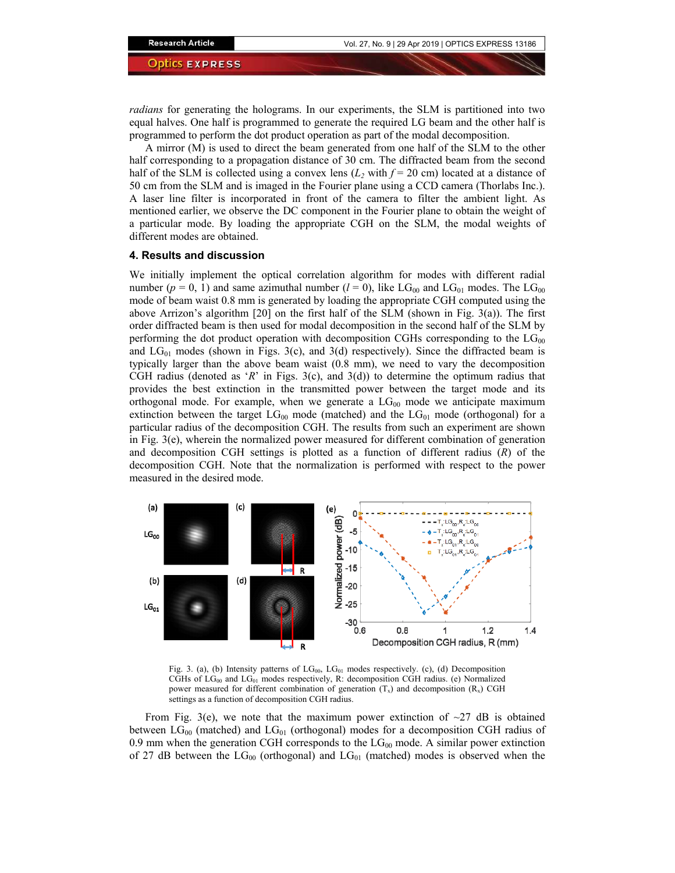*radians* for generating the holograms. In our experiments, the SLM is partitioned into two equal halves. One half is programmed to generate the required LG beam and the other half is programmed to perform the dot product operation as part of the modal decomposition.

A mirror (M) is used to direct the beam generated from one half of the SLM to the other half corresponding to a propagation distance of 30 cm. The diffracted beam from the second half of the SLM is collected using a convex lens  $(L_2 \text{ with } f = 20 \text{ cm})$  located at a distance of 50 cm from the SLM and is imaged in the Fourier plane using a CCD camera (Thorlabs Inc.). A laser line filter is incorporated in front of the camera to filter the ambient light. As mentioned earlier, we observe the DC component in the Fourier plane to obtain the weight of a particular mode. By loading the appropriate CGH on the SLM, the modal weights of different modes are obtained.

#### **4. Results and discussion**

We initially implement the optical correlation algorithm for modes with different radial number ( $p = 0, 1$ ) and same azimuthal number ( $l = 0$ ), like LG<sub>00</sub> and LG<sub>01</sub> modes. The LG<sub>00</sub> mode of beam waist 0.8 mm is generated by loading the appropriate CGH computed using the above Arrizon's algorithm  $[20]$  on the first half of the SLM (shown in Fig. 3(a)). The first order diffracted beam is then used for modal decomposition in the second half of the SLM by performing the dot product operation with decomposition CGHs corresponding to the  $LG_{00}$ and  $LG_{01}$  modes (shown in Figs. 3(c), and 3(d) respectively). Since the diffracted beam is typically larger than the above beam waist (0.8 mm), we need to vary the decomposition CGH radius (denoted as '*R*' in Figs. 3(c), and 3(d)) to determine the optimum radius that provides the best extinction in the transmitted power between the target mode and its orthogonal mode. For example, when we generate a  $LG_{00}$  mode we anticipate maximum extinction between the target  $LG_{00}$  mode (matched) and the  $LG_{01}$  mode (orthogonal) for a particular radius of the decomposition CGH. The results from such an experiment are shown in Fig. 3(e), wherein the normalized power measured for different combination of generation and decomposition CGH settings is plotted as a function of different radius (*R*) of the decomposition CGH. Note that the normalization is performed with respect to the power measured in the desired mode.



Fig. 3. (a), (b) Intensity patterns of  $LG_{00}$ ,  $LG_{01}$  modes respectively. (c), (d) Decomposition CGHs of  $LG_{00}$  and  $LG_{01}$  modes respectively, R: decomposition CGH radius. (e) Normalized power measured for different combination of generation  $(T_x)$  and decomposition  $(R_x)$  CGH settings as a function of decomposition CGH radius.

From Fig. 3(e), we note that the maximum power extinction of  $\sim$ 27 dB is obtained between  $LG_{00}$  (matched) and  $LG_{01}$  (orthogonal) modes for a decomposition CGH radius of 0.9 mm when the generation CGH corresponds to the  $LG_{00}$  mode. A similar power extinction of 27 dB between the  $LG_{00}$  (orthogonal) and  $LG_{01}$  (matched) modes is observed when the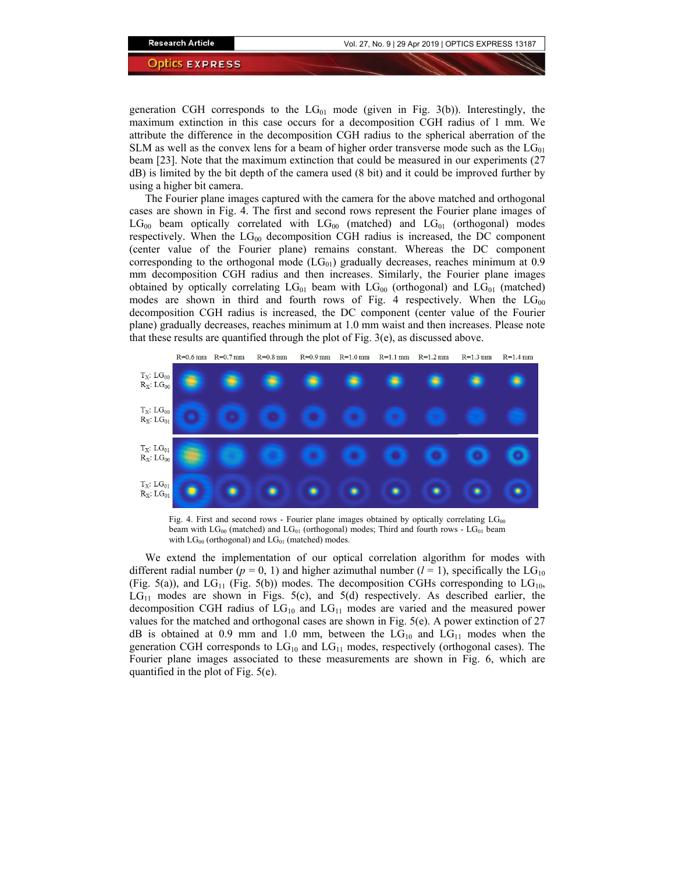generation CGH corresponds to the  $LG_{01}$  mode (given in Fig. 3(b)). Interestingly, the maximum extinction in this case occurs for a decomposition CGH radius of 1 mm. We attribute the difference in the decomposition CGH radius to the spherical aberration of the SLM as well as the convex lens for a beam of higher order transverse mode such as the  $LG_{01}$ beam [23]. Note that the maximum extinction that could be measured in our experiments (27 dB) is limited by the bit depth of the camera used (8 bit) and it could be improved further by using a higher bit camera.

The Fourier plane images captured with the camera for the above matched and orthogonal cases are shown in Fig. 4. The first and second rows represent the Fourier plane images of  $LG_{00}$  beam optically correlated with  $LG_{00}$  (matched) and  $LG_{01}$  (orthogonal) modes respectively. When the  $LG_{00}$  decomposition CGH radius is increased, the DC component (center value of the Fourier plane) remains constant. Whereas the DC component corresponding to the orthogonal mode  $(LG<sub>01</sub>)$  gradually decreases, reaches minimum at 0.9 mm decomposition CGH radius and then increases. Similarly, the Fourier plane images obtained by optically correlating  $LG_{01}$  beam with  $LG_{00}$  (orthogonal) and  $LG_{01}$  (matched) modes are shown in third and fourth rows of Fig. 4 respectively. When the  $LG_{00}$ decomposition CGH radius is increased, the DC component (center value of the Fourier plane) gradually decreases, reaches minimum at 1.0 mm waist and then increases. Please note that these results are quantified through the plot of Fig. 3(e), as discussed above.



Fig. 4. First and second rows - Fourier plane images obtained by optically correlating  $LG_{00}$ beam with  $LG_{00}$  (matched) and  $LG_{01}$  (orthogonal) modes; Third and fourth rows -  $LG_{01}$  beam with  $LG_{00}$  (orthogonal) and  $LG_{01}$  (matched) modes.

We extend the implementation of our optical correlation algorithm for modes with different radial number ( $p = 0, 1$ ) and higher azimuthal number ( $l = 1$ ), specifically the LG<sub>10</sub> (Fig. 5(a)), and  $LG_{11}$  (Fig. 5(b)) modes. The decomposition CGHs corresponding to  $LG_{10}$ ,  $LG<sub>11</sub>$  modes are shown in Figs. 5(c), and 5(d) respectively. As described earlier, the decomposition CGH radius of  $LG_{10}$  and  $LG_{11}$  modes are varied and the measured power values for the matched and orthogonal cases are shown in Fig. 5(e). A power extinction of 27 dB is obtained at 0.9 mm and 1.0 mm, between the  $LG_{10}$  and  $LG_{11}$  modes when the generation CGH corresponds to  $LG_{10}$  and  $LG_{11}$  modes, respectively (orthogonal cases). The Fourier plane images associated to these measurements are shown in Fig. 6, which are quantified in the plot of Fig. 5(e).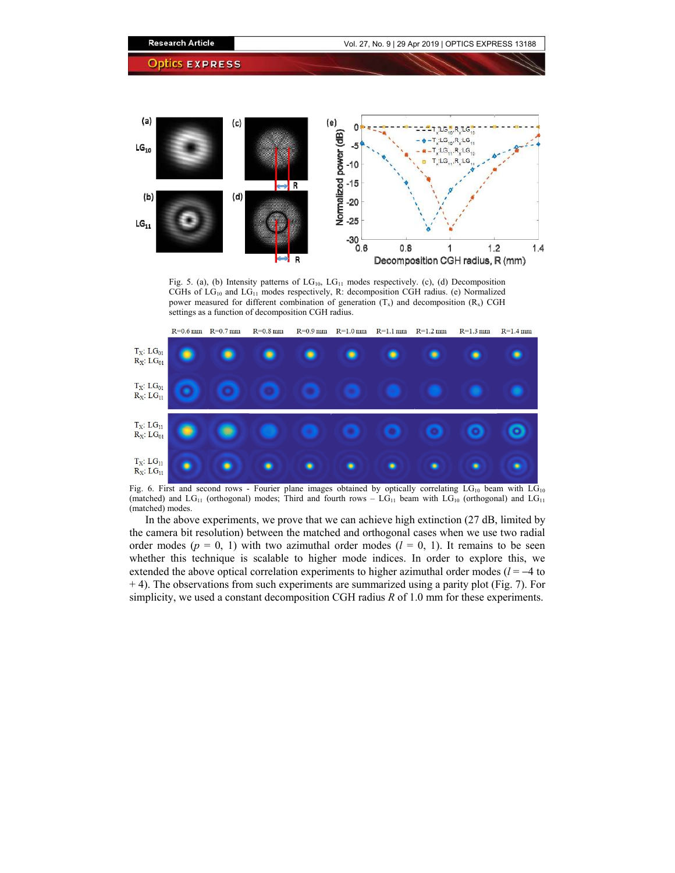

Fig. 5. (a), (b) Intensity patterns of  $LG_{10}$ ,  $LG_{11}$  modes respectively. (c), (d) Decomposition CGHs of  $LG_{10}$  and  $LG_{11}$  modes respectively, R: decomposition CGH radius. (e) Normalized power measured for different combination of generation  $(T_x)$  and decomposition  $(R_x)$  CGH settings as a function of decomposition CGH radius.



Fig. 6. First and second rows - Fourier plane images obtained by optically correlating  $LG_{10}$  beam with  $LG_{10}$ (matched) and  $LG_{11}$  (orthogonal) modes; Third and fourth rows –  $LG_{11}$  beam with  $LG_{10}$  (orthogonal) and  $LG_{11}$ (matched) modes.

In the above experiments, we prove that we can achieve high extinction (27 dB, limited by the camera bit resolution) between the matched and orthogonal cases when we use two radial order modes ( $p = 0, 1$ ) with two azimuthal order modes ( $l = 0, 1$ ). It remains to be seen whether this technique is scalable to higher mode indices. In order to explore this, we extended the above optical correlation experiments to higher azimuthal order modes (*l* = −4 to + 4). The observations from such experiments are summarized using a parity plot (Fig. 7). For simplicity, we used a constant decomposition CGH radius *R* of 1.0 mm for these experiments.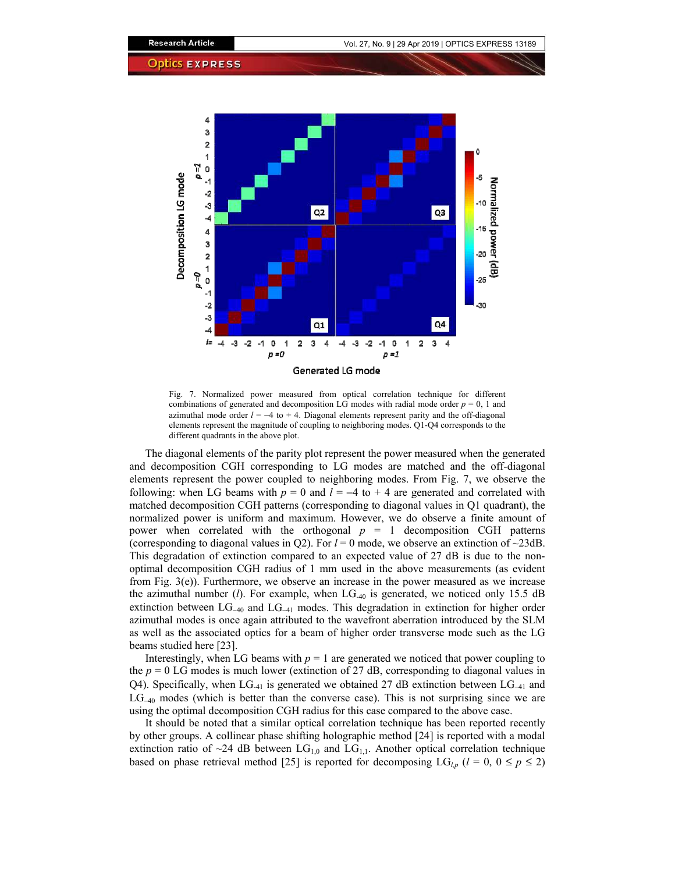

Fig. 7. Normalized power measured from optical correlation technique for different combinations of generated and decomposition LG modes with radial mode order  $p = 0$ , 1 and azimuthal mode order  $l = -4$  to  $+ 4$ . Diagonal elements represent parity and the off-diagonal elements represent the magnitude of coupling to neighboring modes. Q1-Q4 corresponds to the different quadrants in the above plot.

The diagonal elements of the parity plot represent the power measured when the generated and decomposition CGH corresponding to LG modes are matched and the off-diagonal elements represent the power coupled to neighboring modes. From Fig. 7, we observe the following: when LG beams with  $p = 0$  and  $l = -4$  to +4 are generated and correlated with matched decomposition CGH patterns (corresponding to diagonal values in Q1 quadrant), the normalized power is uniform and maximum. However, we do observe a finite amount of power when correlated with the orthogonal  $p = 1$  decomposition CGH patterns (corresponding to diagonal values in Q2). For  $l = 0$  mode, we observe an extinction of  $\sim$ 23dB. This degradation of extinction compared to an expected value of 27 dB is due to the nonoptimal decomposition CGH radius of 1 mm used in the above measurements (as evident from Fig. 3(e)). Furthermore, we observe an increase in the power measured as we increase the azimuthal number (*l*). For example, when LG-40 is generated, we noticed only 15.5 dB extinction between  $LG_{-40}$  and  $LG_{-41}$  modes. This degradation in extinction for higher order azimuthal modes is once again attributed to the wavefront aberration introduced by the SLM as well as the associated optics for a beam of higher order transverse mode such as the LG beams studied here [23].

Interestingly, when LG beams with  $p = 1$  are generated we noticed that power coupling to the  $p = 0$  LG modes is much lower (extinction of 27 dB, corresponding to diagonal values in Q4). Specifically, when LG-41 is generated we obtained 27 dB extinction between LG<sup>−</sup>41 and LG<sup>−</sup>40 modes (which is better than the converse case). This is not surprising since we are using the optimal decomposition CGH radius for this case compared to the above case.

It should be noted that a similar optical correlation technique has been reported recently by other groups. A collinear phase shifting holographic method [24] is reported with a modal extinction ratio of  $\sim$ 24 dB between LG<sub>1,0</sub> and LG<sub>1,1</sub>. Another optical correlation technique based on phase retrieval method [25] is reported for decomposing  $LG_{l,p}$  ( $l = 0, 0 \le p \le 2$ )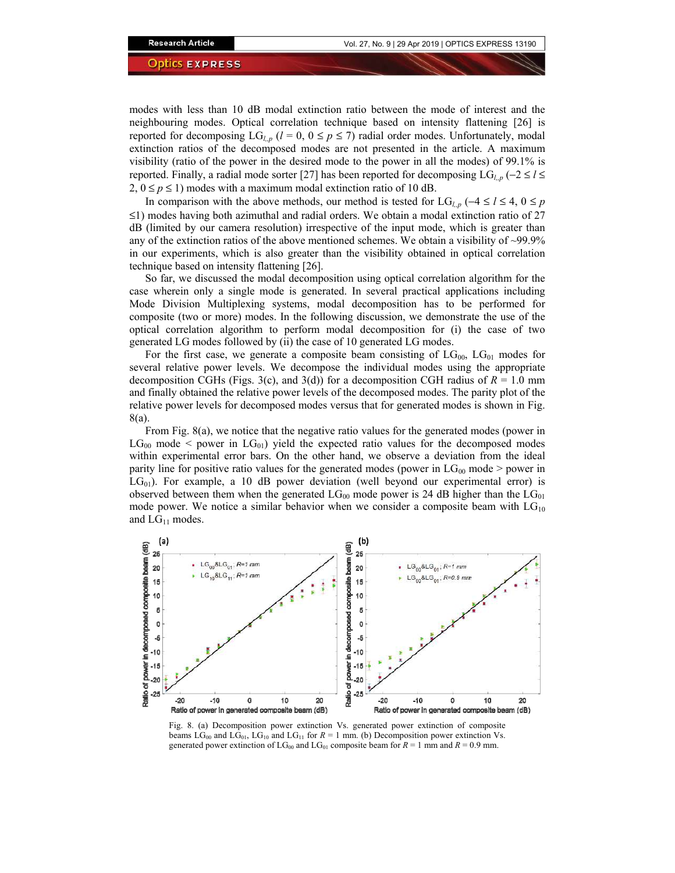modes with less than 10 dB modal extinction ratio between the mode of interest and the neighbouring modes. Optical correlation technique based on intensity flattening [26] is reported for decomposing  $LG_{l,p}$  ( $l = 0, 0 \le p \le 7$ ) radial order modes. Unfortunately, modal extinction ratios of the decomposed modes are not presented in the article. A maximum visibility (ratio of the power in the desired mode to the power in all the modes) of 99.1% is reported. Finally, a radial mode sorter [27] has been reported for decomposing  $LG_{l,p}$  (−2 ≤ *l* ≤  $2, 0 \le p \le 1$ ) modes with a maximum modal extinction ratio of 10 dB.

In comparison with the above methods, our method is tested for LG<sub>*l,p*</sub> (−4 ≤ *l* ≤ 4, 0 ≤ *p*  $\leq$ 1) modes having both azimuthal and radial orders. We obtain a modal extinction ratio of 27 dB (limited by our camera resolution) irrespective of the input mode, which is greater than any of the extinction ratios of the above mentioned schemes. We obtain a visibility of  $\sim$ 99.9% in our experiments, which is also greater than the visibility obtained in optical correlation technique based on intensity flattening [26].

So far, we discussed the modal decomposition using optical correlation algorithm for the case wherein only a single mode is generated. In several practical applications including Mode Division Multiplexing systems, modal decomposition has to be performed for composite (two or more) modes. In the following discussion, we demonstrate the use of the optical correlation algorithm to perform modal decomposition for (i) the case of two generated LG modes followed by (ii) the case of 10 generated LG modes.

For the first case, we generate a composite beam consisting of  $LG_{00}$ ,  $LG_{01}$  modes for several relative power levels. We decompose the individual modes using the appropriate decomposition CGHs (Figs. 3(c), and 3(d)) for a decomposition CGH radius of  $R = 1.0$  mm and finally obtained the relative power levels of the decomposed modes. The parity plot of the relative power levels for decomposed modes versus that for generated modes is shown in Fig. 8(a).

From Fig. 8(a), we notice that the negative ratio values for the generated modes (power in  $LG_{00}$  mode  $\leq$  power in  $LG_{01}$ ) yield the expected ratio values for the decomposed modes within experimental error bars. On the other hand, we observe a deviation from the ideal parity line for positive ratio values for the generated modes (power in  $LG_{00}$  mode > power in  $LG_{01}$ ). For example, a 10 dB power deviation (well beyond our experimental error) is observed between them when the generated  $LG_{00}$  mode power is 24 dB higher than the  $LG_{01}$ mode power. We notice a similar behavior when we consider a composite beam with  $LG_{10}$ and  $LG_{11}$  modes.



Fig. 8. (a) Decomposition power extinction Vs. generated power extinction of composite beams  $LG_{00}$  and  $LG_{01}$ ,  $LG_{10}$  and  $LG_{11}$  for  $R = 1$  mm. (b) Decomposition power extinction Vs. generated power extinction of  $LG_{00}$  and  $LG_{01}$  composite beam for  $R = 1$  mm and  $R = 0.9$  mm.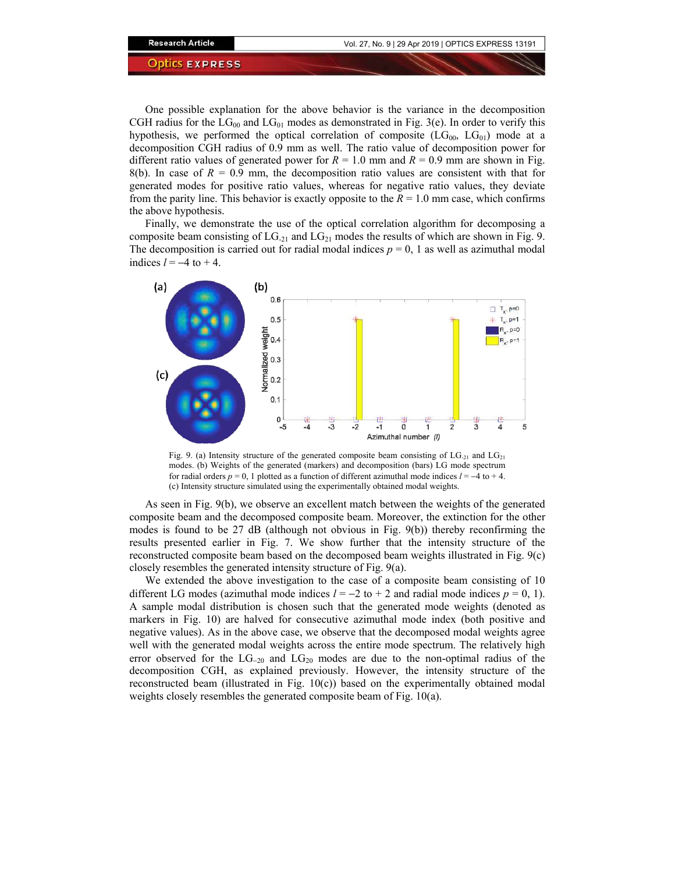One possible explanation for the above behavior is the variance in the decomposition CGH radius for the  $LG_{00}$  and  $LG_{01}$  modes as demonstrated in Fig. 3(e). In order to verify this hypothesis, we performed the optical correlation of composite  $(LG_{00}, LG_{01})$  mode at a decomposition CGH radius of 0.9 mm as well. The ratio value of decomposition power for different ratio values of generated power for  $R = 1.0$  mm and  $R = 0.9$  mm are shown in Fig. 8(b). In case of  $R = 0.9$  mm, the decomposition ratio values are consistent with that for generated modes for positive ratio values, whereas for negative ratio values, they deviate from the parity line. This behavior is exactly opposite to the  $R = 1.0$  mm case, which confirms the above hypothesis.

Finally, we demonstrate the use of the optical correlation algorithm for decomposing a composite beam consisting of  $LG_{21}$  and  $LG_{21}$  modes the results of which are shown in Fig. 9. The decomposition is carried out for radial modal indices  $p = 0$ , 1 as well as azimuthal modal indices  $l = -4$  to  $+ 4$ .



Fig. 9. (a) Intensity structure of the generated composite beam consisting of  $LG_{21}$  and  $LG_{21}$ modes. (b) Weights of the generated (markers) and decomposition (bars) LG mode spectrum for radial orders  $p = 0$ , 1 plotted as a function of different azimuthal mode indices  $l = -4$  to +4. (c) Intensity structure simulated using the experimentally obtained modal weights.

As seen in Fig. 9(b), we observe an excellent match between the weights of the generated composite beam and the decomposed composite beam. Moreover, the extinction for the other modes is found to be 27 dB (although not obvious in Fig. 9(b)) thereby reconfirming the results presented earlier in Fig. 7. We show further that the intensity structure of the reconstructed composite beam based on the decomposed beam weights illustrated in Fig. 9(c) closely resembles the generated intensity structure of Fig. 9(a).

We extended the above investigation to the case of a composite beam consisting of 10 different LG modes (azimuthal mode indices  $l = -2$  to + 2 and radial mode indices  $p = 0, 1$ ). A sample modal distribution is chosen such that the generated mode weights (denoted as markers in Fig. 10) are halved for consecutive azimuthal mode index (both positive and negative values). As in the above case, we observe that the decomposed modal weights agree well with the generated modal weights across the entire mode spectrum. The relatively high error observed for the  $LG_{-20}$  and  $LG_{20}$  modes are due to the non-optimal radius of the decomposition CGH, as explained previously. However, the intensity structure of the reconstructed beam (illustrated in Fig. 10(c)) based on the experimentally obtained modal weights closely resembles the generated composite beam of Fig. 10(a).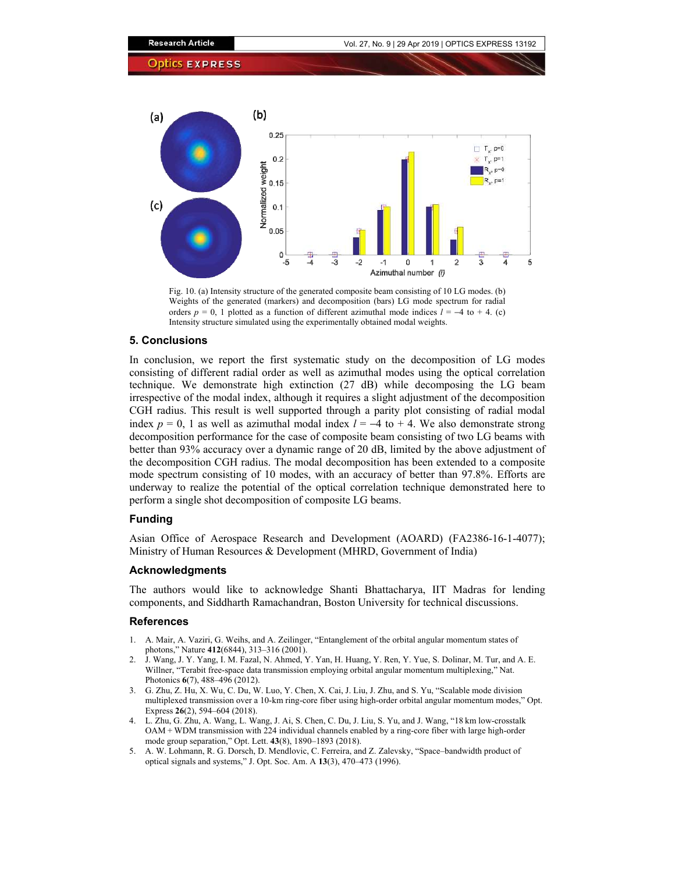

Fig. 10. (a) Intensity structure of the generated composite beam consisting of 10 LG modes. (b) Weights of the generated (markers) and decomposition (bars) LG mode spectrum for radial orders  $p = 0$ , 1 plotted as a function of different azimuthal mode indices  $l = -4$  to + 4. (c) Intensity structure simulated using the experimentally obtained modal weights.

# **5. Conclusions**

In conclusion, we report the first systematic study on the decomposition of LG modes consisting of different radial order as well as azimuthal modes using the optical correlation technique. We demonstrate high extinction (27 dB) while decomposing the LG beam irrespective of the modal index, although it requires a slight adjustment of the decomposition CGH radius. This result is well supported through a parity plot consisting of radial modal index  $p = 0$ , 1 as well as azimuthal modal index  $l = -4$  to +4. We also demonstrate strong decomposition performance for the case of composite beam consisting of two LG beams with better than 93% accuracy over a dynamic range of 20 dB, limited by the above adjustment of the decomposition CGH radius. The modal decomposition has been extended to a composite mode spectrum consisting of 10 modes, with an accuracy of better than 97.8%. Efforts are underway to realize the potential of the optical correlation technique demonstrated here to perform a single shot decomposition of composite LG beams.

# **Funding**

Asian Office of Aerospace Research and Development (AOARD) (FA2386-16-1-4077); Ministry of Human Resources & Development (MHRD, Government of India)

# **Acknowledgments**

The authors would like to acknowledge Shanti Bhattacharya, IIT Madras for lending components, and Siddharth Ramachandran, Boston University for technical discussions.

#### **References**

- 1. A. Mair, A. Vaziri, G. Weihs, and A. Zeilinger, "Entanglement of the orbital angular momentum states of photons," Nature **412**(6844), 313–316 (2001).
- 2. J. Wang, J. Y. Yang, I. M. Fazal, N. Ahmed, Y. Yan, H. Huang, Y. Ren, Y. Yue, S. Dolinar, M. Tur, and A. E. Willner, "Terabit free-space data transmission employing orbital angular momentum multiplexing," Nat. Photonics **6**(7), 488–496 (2012).
- 3. G. Zhu, Z. Hu, X. Wu, C. Du, W. Luo, Y. Chen, X. Cai, J. Liu, J. Zhu, and S. Yu, "Scalable mode division multiplexed transmission over a 10-km ring-core fiber using high-order orbital angular momentum modes," Opt. Express **26**(2), 594–604 (2018).
- 4. L. Zhu, G. Zhu, A. Wang, L. Wang, J. Ai, S. Chen, C. Du, J. Liu, S. Yu, and J. Wang, "18 km low-crosstalk OAM + WDM transmission with 224 individual channels enabled by a ring-core fiber with large high-order mode group separation," Opt. Lett. **43**(8), 1890–1893 (2018).
- 5. A. W. Lohmann, R. G. Dorsch, D. Mendlovic, C. Ferreira, and Z. Zalevsky, "Space–bandwidth product of optical signals and systems," J. Opt. Soc. Am. A **13**(3), 470–473 (1996).